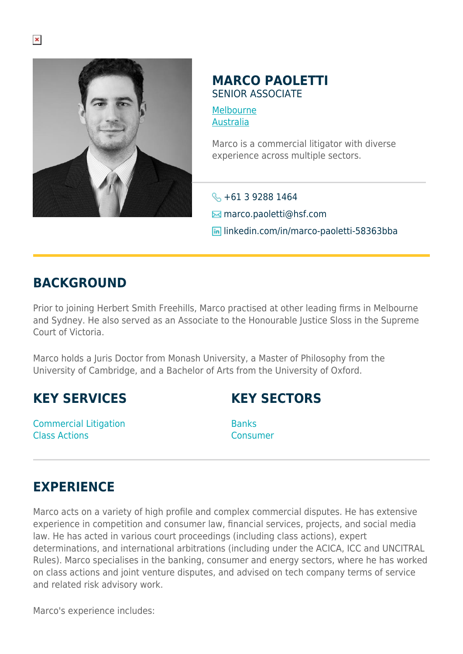

#### **MARCO PAOLETTI** SENIOR ASSOCIATE

[Melbourne](https://www.herbertsmithfreehills.com/where-we-work/melbourne) [Australia](https://www.herbertsmithfreehills.com/where-we-work/australia)

Marco is a commercial litigator with diverse experience across multiple sectors.

 $\leftarrow +61$  3 9288 1464  $\boxtimes$  marco.paoletti@hsf.com **in** linkedin.com/in/marco-paoletti-58363bba

### **BACKGROUND**

Prior to joining Herbert Smith Freehills, Marco practised at other leading firms in Melbourne and Sydney. He also served as an Associate to the Honourable Justice Sloss in the Supreme Court of Victoria.

Marco holds a Juris Doctor from Monash University, a Master of Philosophy from the University of Cambridge, and a Bachelor of Arts from the University of Oxford.

## **KEY SERVICES**

Commercial Litigation Class Actions

# **KEY SECTORS**

**Banks** Consumer

# **EXPERIENCE**

Marco acts on a variety of high profile and complex commercial disputes. He has extensive experience in competition and consumer law, financial services, projects, and social media law. He has acted in various court proceedings (including class actions), expert determinations, and international arbitrations (including under the ACICA, ICC and UNCITRAL Rules). Marco specialises in the banking, consumer and energy sectors, where he has worked on class actions and joint venture disputes, and advised on tech company terms of service and related risk advisory work.

Marco's experience includes: